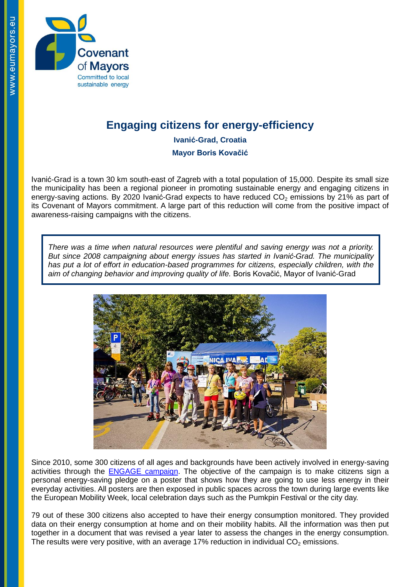

## **Engaging citizens for energy-efficiency**

**Ivanić-Grad, Croatia**

**Mayor Boris Kovačić**

Ivanić-Grad is a town 30 km south-east of Zagreb with a total population of 15,000. Despite its small size the municipality has been a regional pioneer in promoting sustainable energy and engaging citizens in energy-saving actions. By 2020 Ivanić-Grad expects to have reduced  $CO<sub>2</sub>$  emissions by 21% as part of its Covenant of Mayors commitment. A large part of this reduction will come from the positive impact of awareness-raising campaigns with the citizens.

*There was a time when natural resources were plentiful and saving energy was not a priority. But since 2008 campaigning about energy issues has started in Ivanić-Grad. The municipality has put a lot of effort in education-based programmes for citizens, especially children, with the aim of changing behavior and improving quality of life.* Boris Kovačić, Mayor of Ivanić-Grad



Since 2010, some 300 citizens of all ages and backgrounds have been actively involved in energy-saving activities through the [ENGAGE campaign.](http://www.citiesengage.eu/en/The-President-of-the-Republic-of.html) The objective of the campaign is to make citizens sign a personal energy-saving pledge on a poster that shows how they are going to use less energy in their everyday activities. All posters are then exposed in public spaces across the town during large events like the European Mobility Week, local celebration days such as the Pumkpin Festival or the city day.

79 out of these 300 citizens also accepted to have their energy consumption monitored. They provided data on their energy consumption at home and on their mobility habits. All the information was then put together in a document that was revised a year later to assess the changes in the energy consumption. The results were very positive, with an average 17% reduction in individual  $CO<sub>2</sub>$  emissions.